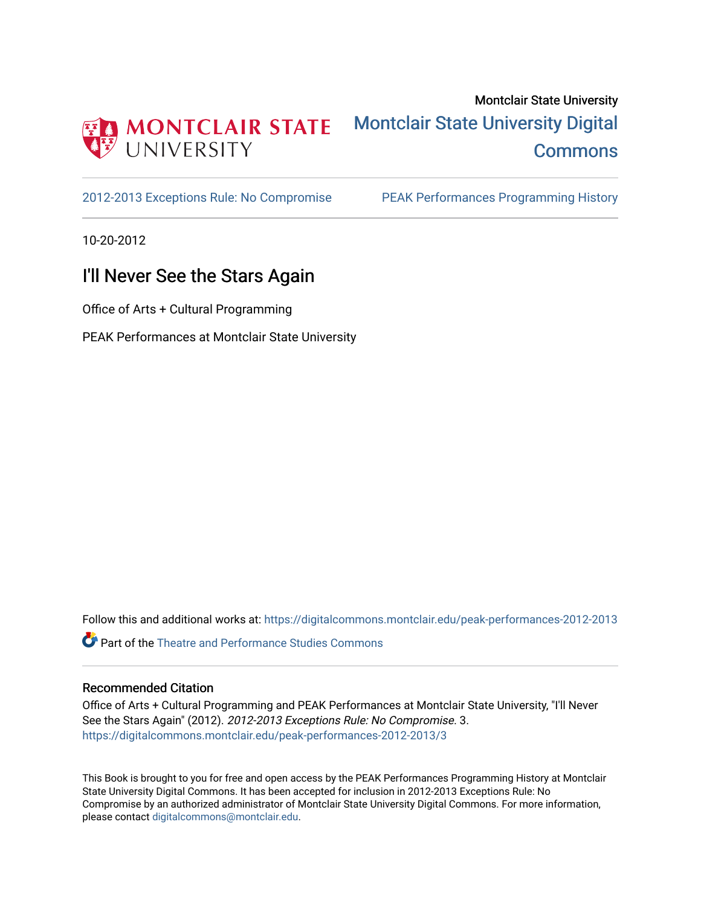

## Montclair State University [Montclair State University Digital](https://digitalcommons.montclair.edu/)  **Commons**

[2012-2013 Exceptions Rule: No Compromise](https://digitalcommons.montclair.edu/peak-performances-2012-2013) [PEAK Performances Programming History](https://digitalcommons.montclair.edu/peak-performances-programming-history) 

10-20-2012

## I'll Never See the Stars Again

Office of Arts + Cultural Programming

PEAK Performances at Montclair State University

Follow this and additional works at: [https://digitalcommons.montclair.edu/peak-performances-2012-2013](https://digitalcommons.montclair.edu/peak-performances-2012-2013?utm_source=digitalcommons.montclair.edu%2Fpeak-performances-2012-2013%2F3&utm_medium=PDF&utm_campaign=PDFCoverPages) 

Part of the [Theatre and Performance Studies Commons](http://network.bepress.com/hgg/discipline/552?utm_source=digitalcommons.montclair.edu%2Fpeak-performances-2012-2013%2F3&utm_medium=PDF&utm_campaign=PDFCoverPages) 

### Recommended Citation

Office of Arts + Cultural Programming and PEAK Performances at Montclair State University, "I'll Never See the Stars Again" (2012). 2012-2013 Exceptions Rule: No Compromise. 3. [https://digitalcommons.montclair.edu/peak-performances-2012-2013/3](https://digitalcommons.montclair.edu/peak-performances-2012-2013/3?utm_source=digitalcommons.montclair.edu%2Fpeak-performances-2012-2013%2F3&utm_medium=PDF&utm_campaign=PDFCoverPages) 

This Book is brought to you for free and open access by the PEAK Performances Programming History at Montclair State University Digital Commons. It has been accepted for inclusion in 2012-2013 Exceptions Rule: No Compromise by an authorized administrator of Montclair State University Digital Commons. For more information, please contact [digitalcommons@montclair.edu.](mailto:digitalcommons@montclair.edu)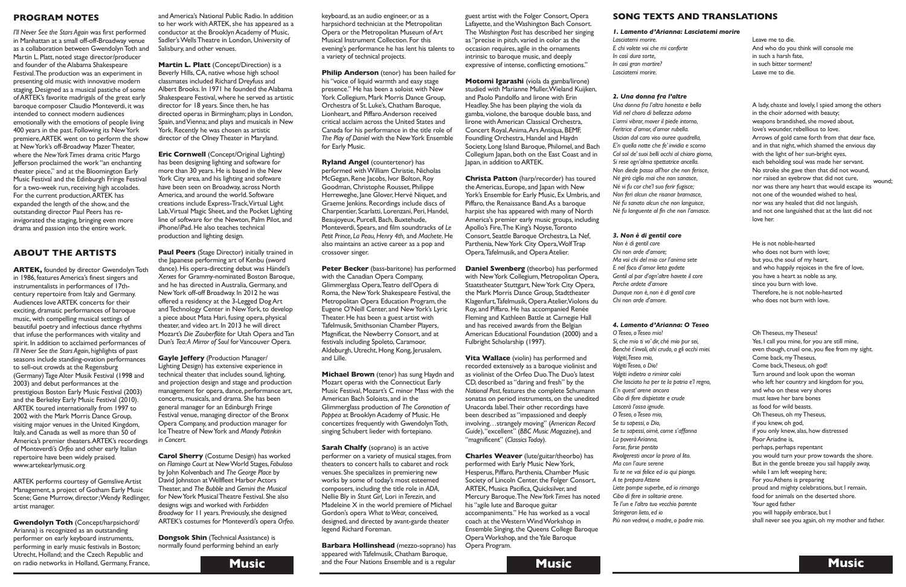keyboard, as an audio engineer, or as a harpsichord technician at the Metropolitan Opera or the Metropolitan Museum of Art Musical Instrument Collection. For this evening's performance he has lent his talents to a variety of technical projects.

**Philip Anderson** (tenor) has been hailed for his "voice of liquid warmth and easy stage presence." He has been a soloist with New York Collegium, Mark Morris Dance Group, Orchestra of St. Luke's, Chatham Baroque, Lionheart, and Piffaro.Anderson received critical acclaim across the United States and Canada for his performance in the title role of *The Play of Daniel* with the NewYork Ensemble for Early Music.

**Peter Becker** (bass-baritone) has performed with the Canadian Opera Company, Glimmerglass Opera,Teatro dell'Opera di Roma, the New York Shakespeare Festival, the Metropolitan Opera Education Program, the Eugene O'Neill Center, and NewYork's Lyric Theater. He has been a guest artist with Tafelmusik, Smithsonian Chamber Players, Magnificat, the Newberry Consort, and at festivals including Spoleto, Caramoor, Aldeburgh, Utrecht, Hong Kong, Jerusalem, and Lille.

**Ryland Angel** (countertenor) has performed with William Christie, Nicholas McGegan, Rene Jacobs, Ivor Bolton, Roy Goodman, Christophe Rousset, Philippe Herreweghe, Jane Glover, Hervé Niquet, and Graeme Jenkins. Recordings include discs of Charpentier, Scarlatti, Lorenzani, Peri, Handel, Beaujoyeux, Purcell, Bach, Buxtehude, Monteverdi, Spears, and film soundtracks of *Le Petit Prince, La Peau,Henry 4th,* and *Machete*. He also maintains an active career as a pop and crossover singer.

**Christa Patton** (harp/recorder) has toured theAmericas, Europe, and Japan with New York's Ensemble for Early Music, Ex Umbris, and Piffaro, the Renaissance Band.As a baroque harpist she has appeared with many of North America's premier early music groups, including Apollo's Fire,The King's Noyse,Toronto Consort, Seattle Baroque Orchestra, La Nef, Parthenia, New York City Opera, Wolf Trap Opera, Tafelmusik, and Opera Atelier.

**Michael Brown** (tenor) has sung Haydn and Mozart operas with the Connecticut Early Music Festival, Mozart's C minor Mass with the American Bach Soloists, and in the Glimmerglass production of *The Coronation of* Poppea at Brooklyn Academy of Music. He concertizes frequently with GwendolynToth, singing Schubert lieder with fortepiano.

**Sarah Chalfy** (soprano) is an active performer on a variety of musical stages, from theaters to concert halls to cabaret and rock venues. She specializes in premiering new works by some of today's most esteemed composers, including the title role in *ADA*, Nellie Bly in *Stunt Girl,* Lori in*Terezin*, and Madeleine X in the world premiere of Michael Gordon's opera *What toWear,* conceived, designed, and directed by avant-garde theater legend Richard Foreman.

**Music** and the Four Nations Ensemble and is a regular **Music Barbara Hollinshead** (mezzo-soprano) has appeared with Tafelmusik, Chatham Baroque,

guest artist with the Folger Consort, Opera Lafayette, and theWashington Bach Consort. The *Washington Post* has described her singing as "precise in pitch, varied in color as the occasion requires, agile in the ornaments intrinsic to baroque music, and deeply expressive of intense, conflicting emotions."

**Motomi Igarashi** (viola da gamba/lirone) studied with Marianne Muller,Wieland Kuijken, and Paolo Pandolfo and lirone with Erin Headley. She has been playing the viola da gamba, violone, the baroque double bass, and lirone withAmerican Classical Orchestra, Concert Royal, Anima, Ars Antiqua, BEMF, Foundling Orchestra, Handel and Haydn Society, Long Island Baroque, Philomel, and Bach Collegium Japan, both on the East Coast and in Japan, in addition toARTEK.

**ARTEK, founded by director Gwendolyn Toth** in 1986, features America's finest singers and instrumentalists in performances of 17thcentury repertoire from Italy and Germany. Audiences loveARTEK concerts for their exciting, dramatic performances of baroque music, with compelling musical settings of beautiful poetry and infectious dance rhythms that infuse the performances with vitality and spirit. In addition to acclaimed performances of *I'll Never See the Stars Again*, highlights of past seasons include standing-ovation performances to sell-out crowds at the Regensburg (Germany)TageAlter Musik Festival (1998 and 2003) and debut performances at the prestigious Boston Early Music Festival (2003) and the Berkeley Early Music Festival (2010). ARTEK toured internationally from 1997 to 2002 with the Mark Morris Dance Group, visiting major venues in the United Kingdom, Italy, and Canada as well as more than 50 of America's premier theaters.ARTEK's recordings of Monteverdi's *Orfeo* and other early Italian repertoire have been widely praised. www.artekearlymusic.org

**Daniel Swenberg** (theorbo) has performed with New York Collegium, Metropolitan Opera, Staatstheater Stuttgart, New York City Opera, the Mark Morris Dance Group, Stadttheater Klagenfurt, Tafelmusik, Opera Atelier, Violons du Roy, and Piffaro. He has accompanied Renée Fleming and Kathleen Battle at Carnegie Hall and has received awards from the Belgian American Educational Foundation (2000) and a Fulbright Scholarship (1997).

**Vita Wallace** (violin) has performed and recorded extensively as a baroque violinist and as violinist of the Orfeo Duo.The Duo's latest CD, described as "daring and fresh" by the *National Post*, features the complete Schumann sonatas on period instruments, on the unedited Unacorda label.Their other recordings have been described as "impassioned and deeply involving…strangely moving" (*American Record Guide*),"excellent" (*BBC Music Magazine*), and "magnificent" (*ClassicsToday*).

**Charles Weaver** (lute/guitar/theorbo) has performed with Early Music New York, Hesperus, Piffaro, Parthenia, Chamber Music Society of Lincoln Center, the Folger Consort, ARTEK, Musica Pacifica, Quicksilver, and Mercury Baroque.The *NewYorkTimes* has noted his "agile lute and Baroque guitar accompaniments." He has worked as a vocal coach at theWesternWindWorkshop in Ensemble Singing, the Queens College Baroque OperaWorkshop, and theYale Baroque Opera Program.

### **PROGRAM NOTES**

**Dongsok Shin** (Technical Assistance) is normally found performing behind an early



*I'll Never See the Stars Again* was first performed in Manhattan at a small off-off-Broadway venue as a collaboration between GwendolynToth and Martin L. Platt, noted stage director/producer and founder of the Alabama Shakespeare Festival.The production was an experiment in presenting old music with innovative modern staging.Designed as a musical pastiche of some ofARTEK's favorite madrigals of the great early baroque composer Claudio Monteverdi, it was intended to connect modern audiences emotionally with the emotions of people living 400 years in the past. Following its NewYork premiere,ARTEK went on to perform the show at NewYork's off-Broadway MazerTheater, where the *NewYorkTimes* drama critic Margo Jefferson proclaimed the work "an enchanting theater piece," and at the Bloomington Early Music Festival and the Edinburgh Fringe Festival for a two-week run, receiving high accolades. For the current production,ARTEK has expanded the length of the show, and the outstanding director Paul Peers has reinvigorated the staging, bringing even more drama and passion into the entire work.

### **ABOUT THE ARTISTS**

Oh Theseus, my Theseus! Yes, I call you mine, for you are still mine, even though, cruel one, you flee from my sight. Come back, my Theseus, Come back,Theseus, oh god! Turn around and look upon the woman who left her country and kingdom for you, and who on these very shores must leave her bare bones as food for wild beasts. OhTheseus, oh myTheseus, if you knew, oh god, if you only knew, alas, how distressed Poor Ariadne is, perhaps, perhaps repentant you would turn your prow towards the shore. But in the gentle breeze you sail happily away, while I am left weeping here; For you Athens is preparing proud and mighty celebrations, but I remain, food for animals on the deserted shore. Your aged father you will happily embrace, but I shall never see you again, oh my mother and father.

ARTEK performs courtesy of GemsliveArtist Management, a project of Gotham Early Music Scene; Gene Murrow, director; Wendy Redlinger, artist manager.

**Gwendolyn Toth** (Concept/harpsichord/ Arianna) is recognized as an outstanding performer on early keyboard instruments, performing in early music festivals in Boston; Utrecht, Holland; and the Czech Republic and on radio networks in Holland, Germany, France, andAmerica's National Public Radio. In addition to her work with ARTEK, she has appeared as a conductor at the Brooklyn Academy of Music, Sadler's Wells Theatre in London, University of Salisbury, and other venues.

**Martin L. Platt** (Concept/Direction) is a Beverly Hills, CA, native whose high school classmates included Richard Dreyfuss and Albert Brooks. In 1971 he founded the Alabama Shakespeare Festival, where he served as artistic director for 18 years. Since then, he has directed operas in Birmingham; plays in London, Spain, and Vienna; and plays and musicals in New York. Recently he was chosen as artistic director of the OlneyTheater in Maryland.

**Eric Cornwell** (Concept/Original Lighting) has been designing lighting and software for more than 30 years. He is based in the New York City area, and his lighting and software have been seen on Broadway, across North America, and around the world. Software creations include Express-Track,Virtual Light Lab,Virtual Magic Sheet, and the Pocket Lighting line of software for the Newton, Palm Pilot, and iPhone/iPad. He also teaches technical production and lighting design.

**Paul Peers** (Stage Director) initially trained in the Japanese performing art of Kenbu (sword dance). His opera-directing debut was Händel's *Xerxes* for Grammy-nominated Boston Baroque, and he has directed in Australia, Germany, and NewYork off-off Broadway. In 2012 he was offered a residency at the 3-Legged DogArt and Technology Center in New York, to develop a piece about Mata Hari, fusing opera, physical theater, and video art. In 2013 he will direct Mozart's *Die Zauberflöte* for Utah Opera andTan Dun's *Tea:A Mirror of Soul* forVancouver Opera.

**Gayle Jeffery** (Production Manager/ Lighting Design) has extensive experience in technical theater that includes sound, lighting, and projection design and stage and production management for opera, dance, performance art, concerts,musicals, and drama. She has been general manager for an Edinburgh Fringe Festival venue, managing director of the Bronx Opera Company, and production manager for IceTheatre of NewYork and *Mandy Patinkin in Concert.*

**Carol Sherry** (Costume Design) has worked on *Flamingo Court* at NewWorld Stages, *Fabuloso* by John Kolvenbach and *The George Place* by David Johnston at Wellfleet Harbor Actors Theater, and *The Bubble* and *Gemini the Musical* for NewYork MusicalTheatre Festival. She also designs wigs and worked with *Forbidden* **Broadway** for 11 years. Previously, she designed ARTEK's costumes for Monteverdi's opera *Orfeo*.

### *1. Lamento d'Arianna: Lasciatemi morire*

*Lasciatemi morire. E chi volete voi che mi conforte In così dura sorte, In così gran martire? Lasciatemi morire.*

*2. Una donna fra l'altre Una donna fra l'altra honesta e bella Vidi nel choro di bellezza adorno L'armi vibrar, mover il piede intorno, Feritrice d'amor, d'amor rubella. Uscian dal caro viso auree quadrella, E'n quella notte che fe' invidia e scorno Col sol de'suoi belli occhi al chiaro giorno, Si rese ogn'alma spettatrice ancella. Non diede passo all'hor che non ferisce, Né girò ciglio mai che non sanasce, Né vi fu cor che'l suo ferir fugisce; Non ferì alcun che risanar bramasce, Né fu sanato alcun che non languisce, Né fu languente al fin che non l'amasce.*

### *3. Non è di gentil core*

*Non è di gentil core Chi non arde d'amore; Ma voi chi del mio cor l'anima sete E nel foco d'amor lieta godete Gentil al par d'ogn'altre havete il core Perche ardete d'amore Dunque non è, non è di gentil core Chi non arde d'amore.*

### *4. Lamento d'Arianna: O Teseo*

*OTeseo, oTeseo mio! Sì,che mio ti vo' dir,ché mio pur sei, Benché t'involi, ahi crudo, a gli occhi miei. Volgiti,Teseo mio, VolgitiTeseo, o Dio! Volgiti indietro a rimirar colei Che lasciato ha per te la patria e'l regno, E'n quest' arene ancora Cibo di fere dispietate e crude Lascerà l'ossa ignude. OTeseo, oTeseo mio, Se tu sapessi, o Dio, Se tu sapessi, oimè,come s'affanna La poverà Arianna, Forse, forse pentito Rivolgeresti ancor la prora al lito. Ma con l'aure serene Tu te ne vai felice ed io qui piango. A te prepara Attene Liete pompe superbe, ed io rimango Cibo di fere in solitarie arene. Te l'un e l'altro tuo vecchio parente Stringeran lieto, ed io Più non vedrovi, o madre, o padre mio.*

Leave me to die. And who do you think will console me in such a harsh fate, in such bitter torment? Leave me to die.

He is not noble-hearted who does not burn with love; but you, the soul of my heart, and who happily rejoices in the fire of love, you have a heart as noble as any, since you burn with love. Therefore, he is not noble-hearted who does not burn with love.

A lady, chaste and lovely, I spied among the others in the choir adorned with beauty; weapons brandished, she moved about, love's wounder, rebellious to love. Arrows of gold came forth from that dear face, and in that night, which shamed the envious day with the light of her sun-bright eyes, each beholding soul was made her servant. No stroke she gave then that did not wound, nor raised an eyebrow that did not cure, nor was there any heart that would escape its not one of the wounded wished to heal, nor was any healed that did not languish, and not one languished that at the last did not love her. wound;

### **SONG TEXTS AND TRANSLATIONS**